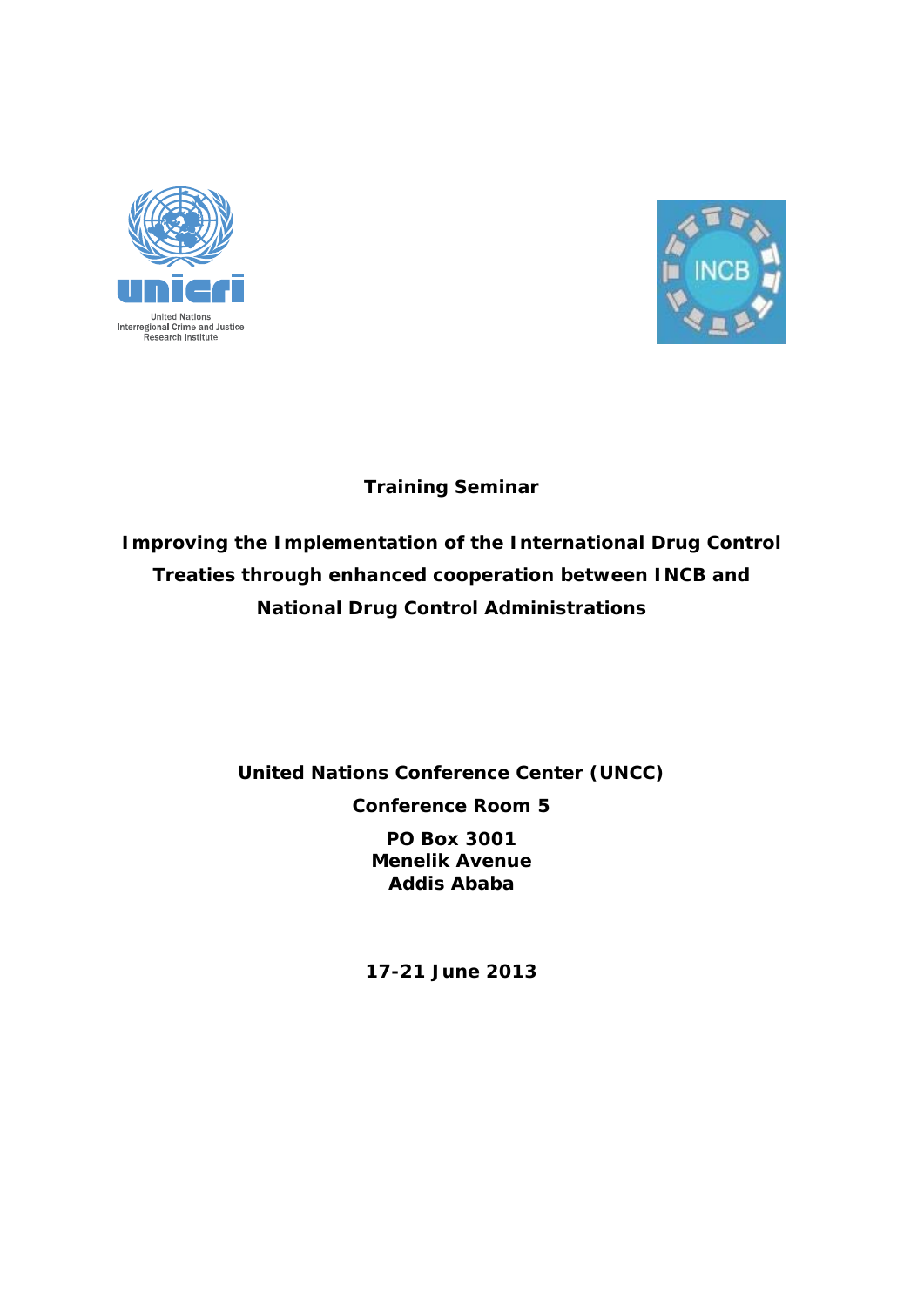



## **Training Seminar**

*Improving the Implementation of the International Drug Control Treaties through enhanced cooperation between INCB and National Drug Control Administrations* 

**United Nations Conference Center (UNCC)** 

**Conference Room 5** 

**PO Box 3001 Menelik Avenue Addis Ababa** 

**17-21 June 2013**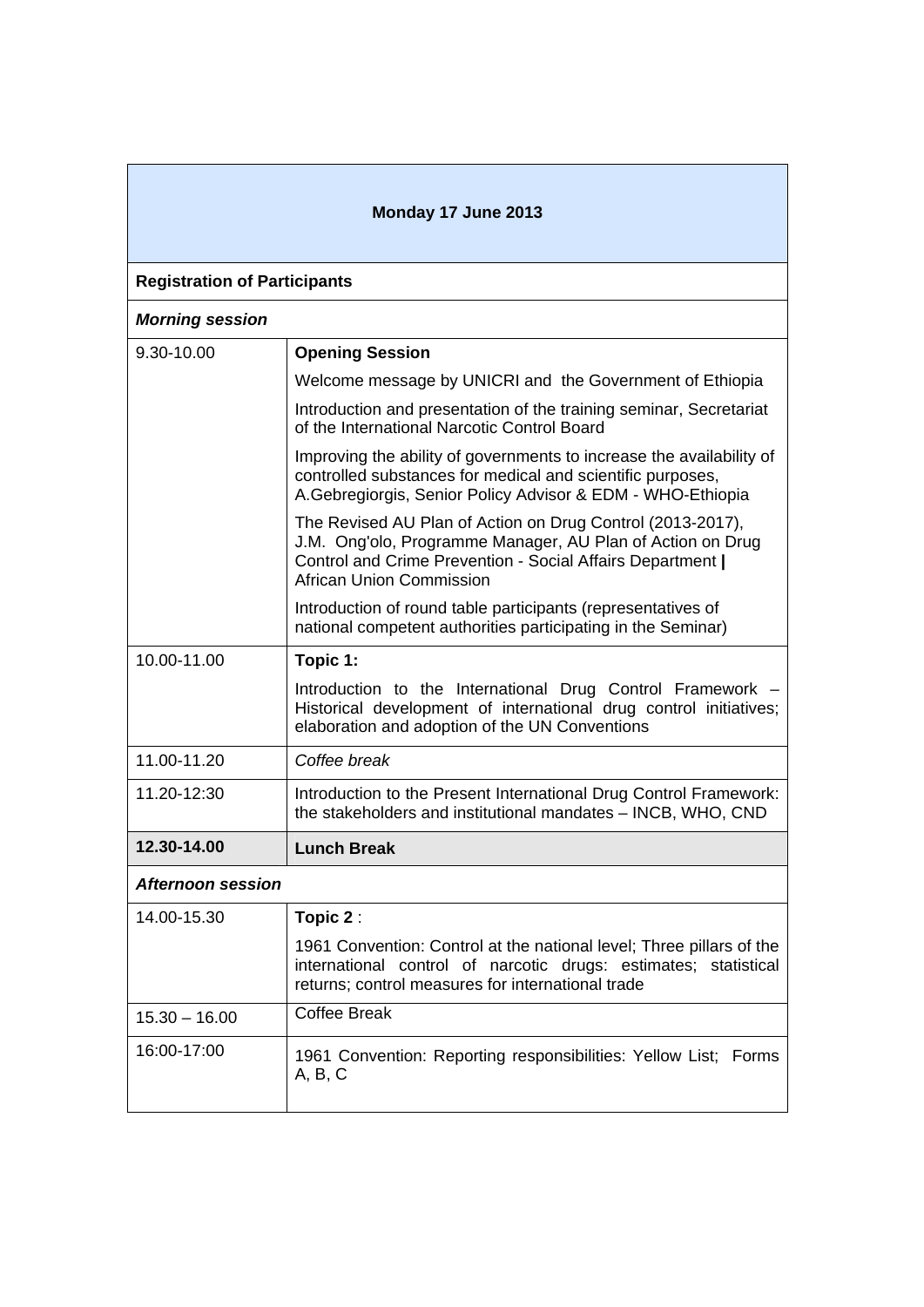| Monday 17 June 2013                 |                                                                                                                                                                                                                           |  |
|-------------------------------------|---------------------------------------------------------------------------------------------------------------------------------------------------------------------------------------------------------------------------|--|
| <b>Registration of Participants</b> |                                                                                                                                                                                                                           |  |
| <b>Morning session</b>              |                                                                                                                                                                                                                           |  |
| 9.30-10.00                          | <b>Opening Session</b>                                                                                                                                                                                                    |  |
|                                     | Welcome message by UNICRI and the Government of Ethiopia                                                                                                                                                                  |  |
|                                     | Introduction and presentation of the training seminar, Secretariat<br>of the International Narcotic Control Board                                                                                                         |  |
|                                     | Improving the ability of governments to increase the availability of<br>controlled substances for medical and scientific purposes,<br>A.Gebregiorgis, Senior Policy Advisor & EDM - WHO-Ethiopia                          |  |
|                                     | The Revised AU Plan of Action on Drug Control (2013-2017),<br>J.M. Ong'olo, Programme Manager, AU Plan of Action on Drug<br>Control and Crime Prevention - Social Affairs Department  <br><b>African Union Commission</b> |  |
|                                     | Introduction of round table participants (representatives of<br>national competent authorities participating in the Seminar)                                                                                              |  |
| 10.00-11.00                         | Topic 1:                                                                                                                                                                                                                  |  |
|                                     | Introduction to the International Drug Control Framework<br>Historical development of international drug control initiatives;<br>elaboration and adoption of the UN Conventions                                           |  |
| 11.00-11.20                         | Coffee break                                                                                                                                                                                                              |  |
| 11.20-12:30                         | Introduction to the Present International Drug Control Framework:<br>the stakeholders and institutional mandates - INCB, WHO, CND                                                                                         |  |
| 12.30-14.00                         | <b>Lunch Break</b>                                                                                                                                                                                                        |  |
| <b>Afternoon session</b>            |                                                                                                                                                                                                                           |  |
| 14.00-15.30                         | Topic 2:                                                                                                                                                                                                                  |  |
|                                     | 1961 Convention: Control at the national level; Three pillars of the<br>international control of narcotic drugs: estimates; statistical<br>returns; control measures for international trade                              |  |
| $15.30 - 16.00$                     | <b>Coffee Break</b>                                                                                                                                                                                                       |  |
| 16:00-17:00                         | 1961 Convention: Reporting responsibilities: Yellow List; Forms<br>A, B, C                                                                                                                                                |  |

 $\overline{\phantom{a}}$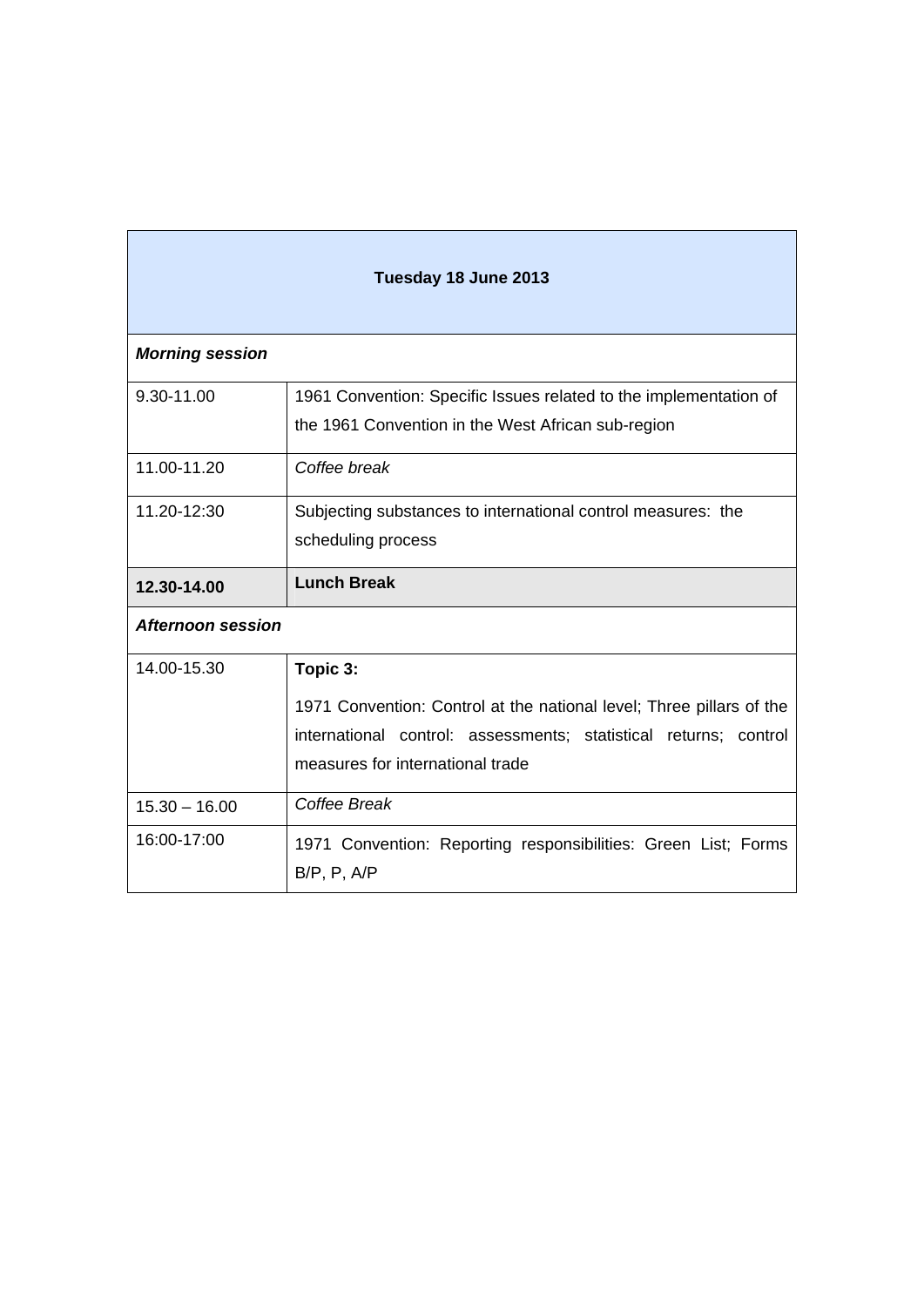| Tuesday 18 June 2013     |                                                                                                                                                                                          |  |
|--------------------------|------------------------------------------------------------------------------------------------------------------------------------------------------------------------------------------|--|
| <b>Morning session</b>   |                                                                                                                                                                                          |  |
| 9.30-11.00               | 1961 Convention: Specific Issues related to the implementation of<br>the 1961 Convention in the West African sub-region                                                                  |  |
| 11.00-11.20              | Coffee break                                                                                                                                                                             |  |
| 11.20-12:30              | Subjecting substances to international control measures: the<br>scheduling process                                                                                                       |  |
| 12.30-14.00              | <b>Lunch Break</b>                                                                                                                                                                       |  |
| <b>Afternoon session</b> |                                                                                                                                                                                          |  |
| 14.00-15.30              | Topic 3:<br>1971 Convention: Control at the national level; Three pillars of the<br>international control: assessments; statistical returns; control<br>measures for international trade |  |
| $15.30 - 16.00$          | Coffee Break                                                                                                                                                                             |  |
| 16:00-17:00              | 1971 Convention: Reporting responsibilities: Green List; Forms<br>$B/P$ , $P$ , $A/P$                                                                                                    |  |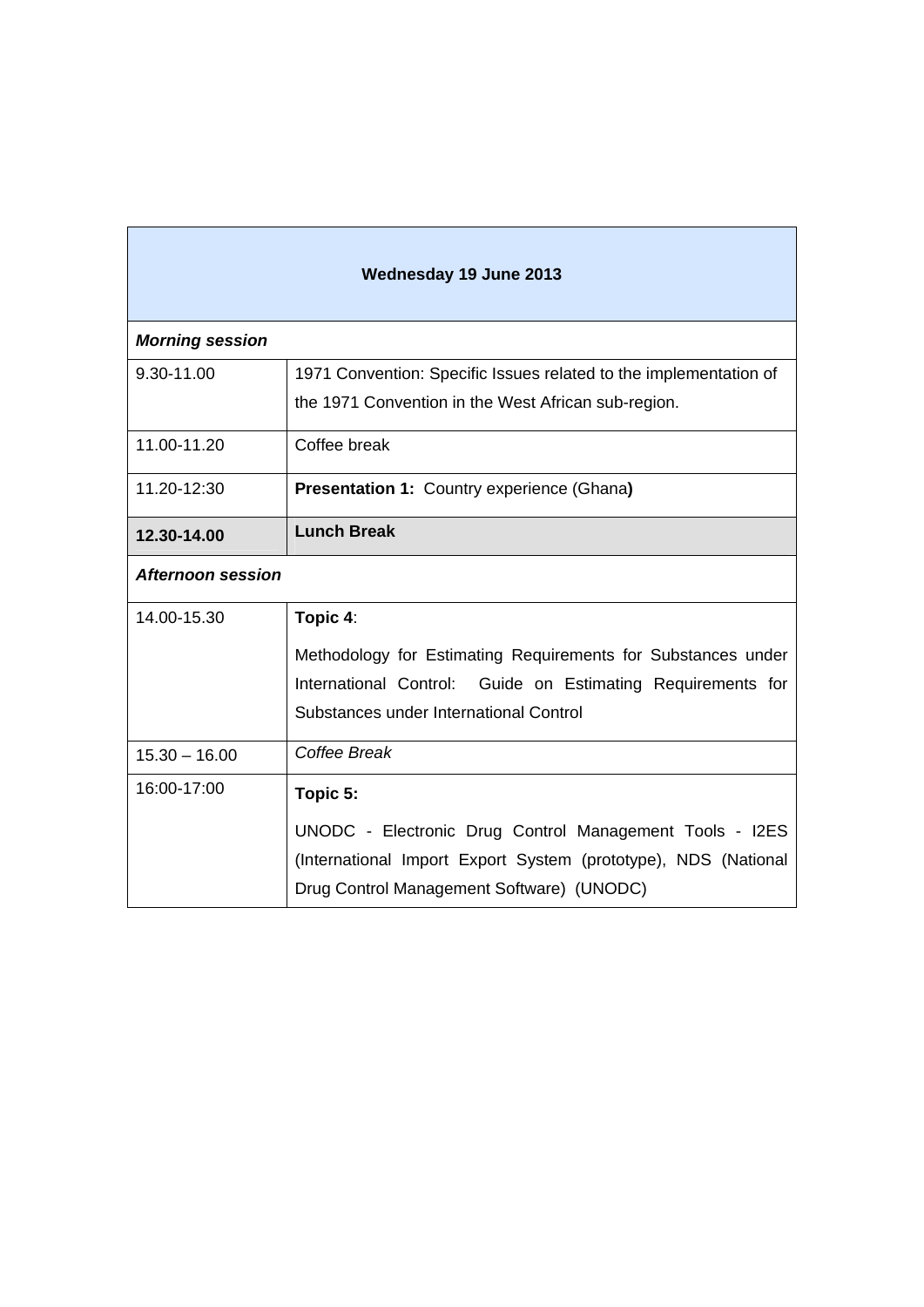| <b>Wednesday 19 June 2013</b> |                                                                   |  |
|-------------------------------|-------------------------------------------------------------------|--|
| <b>Morning session</b>        |                                                                   |  |
| 9.30-11.00                    | 1971 Convention: Specific Issues related to the implementation of |  |
|                               | the 1971 Convention in the West African sub-region.               |  |
| 11.00-11.20                   | Coffee break                                                      |  |
| 11.20-12:30                   | <b>Presentation 1: Country experience (Ghana)</b>                 |  |
| 12.30-14.00                   | <b>Lunch Break</b>                                                |  |
| <b>Afternoon session</b>      |                                                                   |  |
| 14.00-15.30                   | Topic 4:                                                          |  |
|                               | Methodology for Estimating Requirements for Substances under      |  |
|                               | International Control: Guide on Estimating Requirements for       |  |
|                               | Substances under International Control                            |  |
| $15.30 - 16.00$               | Coffee Break                                                      |  |
| 16:00-17:00                   | Topic 5:                                                          |  |
|                               | UNODC - Electronic Drug Control Management Tools - I2ES           |  |
|                               | (International Import Export System (prototype), NDS (National    |  |
|                               | Drug Control Management Software) (UNODC)                         |  |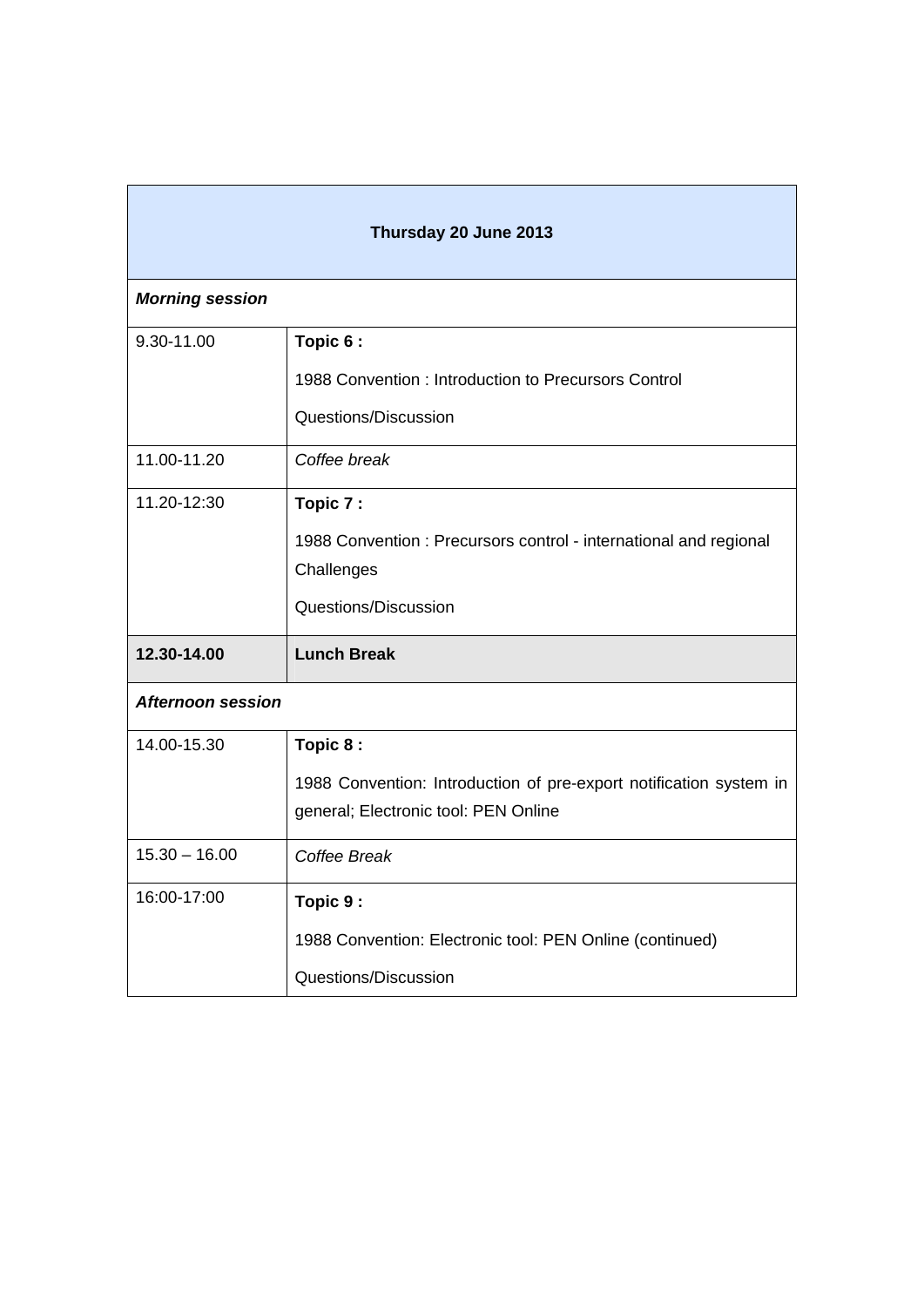| Thursday 20 June 2013    |                                                                    |  |
|--------------------------|--------------------------------------------------------------------|--|
| <b>Morning session</b>   |                                                                    |  |
| 9.30-11.00               | Topic 6:                                                           |  |
|                          | 1988 Convention: Introduction to Precursors Control                |  |
|                          | Questions/Discussion                                               |  |
| 11.00-11.20              | Coffee break                                                       |  |
| 11.20-12:30              | Topic 7:                                                           |  |
|                          | 1988 Convention: Precursors control - international and regional   |  |
|                          | Challenges                                                         |  |
|                          | Questions/Discussion                                               |  |
| 12.30-14.00              | <b>Lunch Break</b>                                                 |  |
| <b>Afternoon session</b> |                                                                    |  |
| 14.00-15.30              | Topic 8:                                                           |  |
|                          | 1988 Convention: Introduction of pre-export notification system in |  |
|                          | general; Electronic tool: PEN Online                               |  |
| $15.30 - 16.00$          | Coffee Break                                                       |  |
| 16:00-17:00              | Topic 9:                                                           |  |
|                          | 1988 Convention: Electronic tool: PEN Online (continued)           |  |
|                          | Questions/Discussion                                               |  |